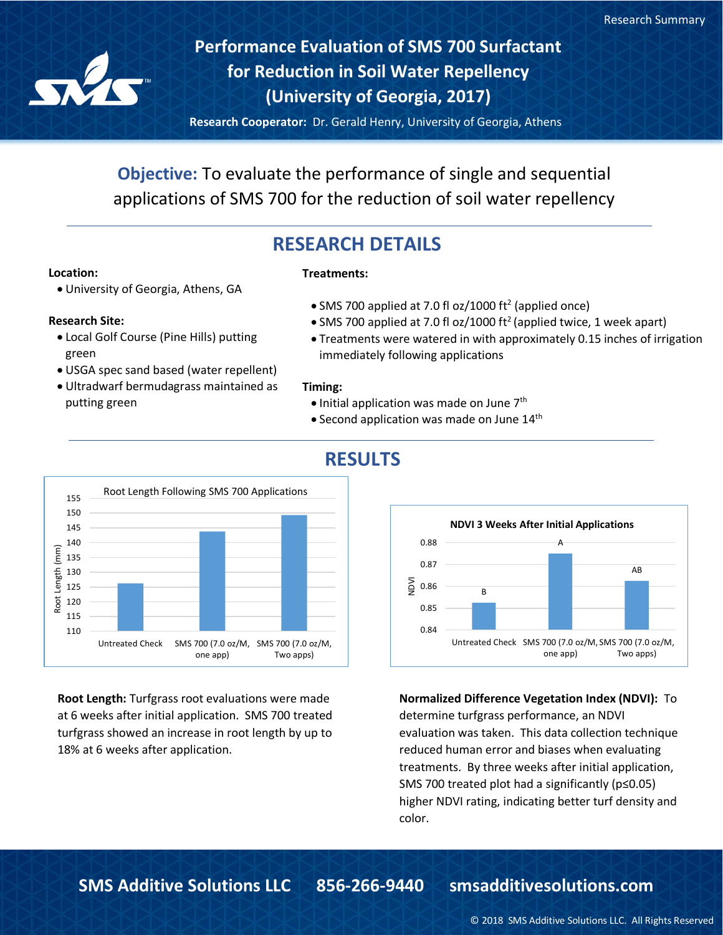

**Performance Evaluation of SMS 700 Surfactant for Reduction in Soil Water Repellency (University of Georgia, 2017)**

**Research Cooperator:** Dr. Gerald Henry, University of Georgia, Athens

**Objective:** To evaluate the performance of single and sequential applications of SMS 700 for the reduction of soil water repellency

# **RESEARCH DETAILS**

## **Location:**

• University of Georgia, Athens, GA

### **Research Site:**

- Local Golf Course (Pine Hills) putting green
- USGA spec sand based (water repellent)
- Ultradwarf bermudagrass maintained as putting green



**Root Length:** Turfgrass root evaluations were made at 6 weeks after initial application. SMS 700 treated turfgrass showed an increase in root length by up to 18% at 6 weeks after application.



- SMS 700 applied at 7.0 fl oz/1000 ft<sup>2</sup> (applied once)
- SMS 700 applied at 7.0 fl oz/1000 ft<sup>2</sup> (applied twice, 1 week apart)
- Treatments were watered in with approximately 0.15 inches of irrigation immediately following applications

### **Timing:**

- Initial application was made on June 7<sup>th</sup>
- Second application was made on June  $14<sup>th</sup>$



# **RESULTS**

**Normalized Difference Vegetation Index (NDVI):** To

determine turfgrass performance, an NDVI evaluation was taken. This data collection technique reduced human error and biases when evaluating treatments. By three weeks after initial application, SMS 700 treated plot had a significantly (p≤0.05) higher NDVI rating, indicating better turf density and color.

#### © 2018 SMS Additive Solutions LLC. All Rights Reserved